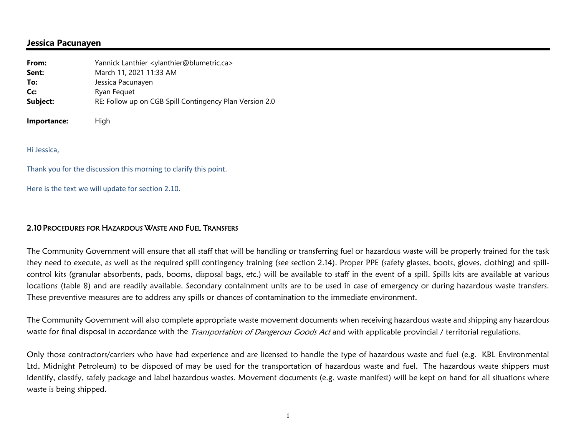## **Jessica Pacunayen**

| From:       | Yannick Lanthier <ylanthier@blumetric.ca></ylanthier@blumetric.ca> |
|-------------|--------------------------------------------------------------------|
| Sent:       | March 11, 2021 11:33 AM                                            |
| To:         | Jessica Pacunayen                                                  |
| Cc:         | Ryan Fequet                                                        |
| Subject:    | RE: Follow up on CGB Spill Contingency Plan Version 2.0            |
| Importance: | High                                                               |
|             |                                                                    |

Hi Jessica,

Thank you for the discussion this morning to clarify this point.

Here is the text we will update for section 2.10.

## 2.10 PROCEDURES FOR HAZARDOUS WASTE AND FUEL TRANSFERS

The Community Government will ensure that all staff that will be handling or transferring fuel or hazardous waste will be properly trained for the task they need to execute, as well as the required spill contingency training (see section 2.14). Proper PPE (safety glasses, boots, gloves, clothing) and spillcontrol kits (granular absorbents, pads, booms, disposal bags, etc.) will be available to staff in the event of a spill. Spills kits are available at various locations (table 8) and are readily available. Secondary containment units are to be used in case of emergency or during hazardous waste transfers. These preventive measures are to address any spills or chances of contamination to the immediate environment.

The Community Government will also complete appropriate waste movement documents when receiving hazardous waste and shipping any hazardous waste for final disposal in accordance with the *Transportation of Dangerous Goods Act* and with applicable provincial / territorial regulations.

Only those contractors/carriers who have had experience and are licensed to handle the type of hazardous waste and fuel (e.g. KBL Environmental Ltd, Midnight Petroleum) to be disposed of may be used for the transportation of hazardous waste and fuel. The hazardous waste shippers must identify, classify, safely package and label hazardous wastes. Movement documents (e.g. waste manifest) will be kept on hand for all situations where waste is being shipped.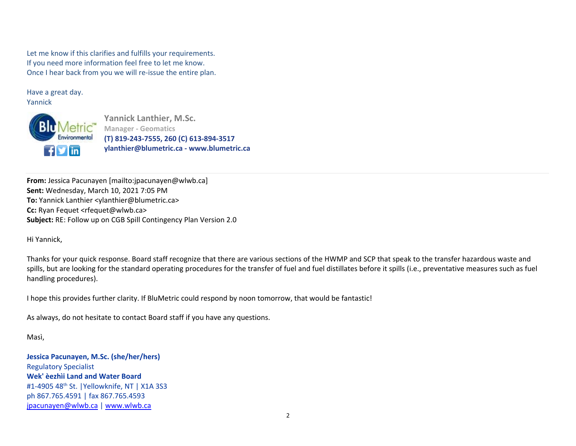Let me know if this clarifies and fulfills your requirements. If you need more information feel free to let me know. Once I hear back from you we will re‐issue the entire plan.

Have a great day. Yannick



**Yannick Lanthier, M.Sc. Manager ‐ Geomatics (T) 819‐243‐7555, 260 (C) 613‐894‐3517 ylanthier@blumetric.ca ‐ www.blumetric.ca**

**From:** Jessica Pacunayen [mailto:jpacunayen@wlwb.ca] **Sent:** Wednesday, March 10, 2021 7:05 PM **To:** Yannick Lanthier <ylanthier@blumetric.ca> **Cc:** Ryan Fequet <rfequet@wlwb.ca> **Subject:** RE: Follow up on CGB Spill Contingency Plan Version 2.0

Hi Yannick,

Thanks for your quick response. Board staff recognize that there are various sections of the HWMP and SCP that speak to the transfer hazardous waste and spills, but are looking for the standard operating procedures for the transfer of fuel and fuel distillates before it spills (i.e., preventative measures such as fuel handling procedures).

I hope this provides further clarity. If BluMetric could respond by noon tomorrow, that would be fantastic!

As always, do not hesitate to contact Board staff if you have any questions.

Masì,

**Jessica Pacunayen, M.Sc. (she/her/hers)** Regulatory Specialist **Wek' èezhìi Land and Water Board**#1-4905 48<sup>th</sup> St. | Yellowknife, NT | X1A 3S3 ph 867.765.4591 | fax 867.765.4593 jpacunayen@wlwb.ca | www.wlwb.ca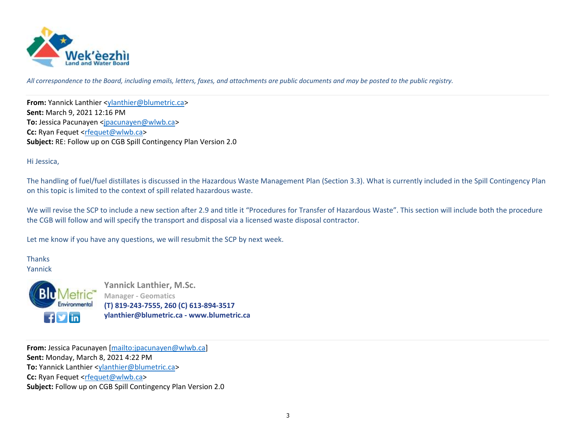

*All correspondence to the Board, including emails, letters, faxes, and attachments are public documents and may be posted to the public registry.*

**From:** Yannick Lanthier <ylanthier@blumetric.ca> **Sent:** March 9, 2021 12:16 PM **To:** Jessica Pacunayen <jpacunayen@wlwb.ca> **Cc:** Ryan Fequet <rfequet@wlwb.ca> **Subject:** RE: Follow up on CGB Spill Contingency Plan Version 2.0

## Hi Jessica,

The handling of fuel/fuel distillates is discussed in the Hazardous Waste Management Plan (Section 3.3). What is currently included in the Spill Contingency Plan on this topic is limited to the context of spill related hazardous waste.

We will revise the SCP to include a new section after 2.9 and title it "Procedures for Transfer of Hazardous Waste". This section will include both the procedure the CGB will follow and will specify the transport and disposal via a licensed waste disposal contractor.

Let me know if you have any questions, we will resubmit the SCP by next week.

## **Thanks** Yannick



Yannick Lanthier, M.Sc. **Manager ‐ Geomatics (T) 819‐243‐7555, 260 (C) 613‐894‐3517 ylanthier@blumetric.ca ‐ www.blumetric.ca**

**From:** Jessica Pacunayen [mailto:jpacunayen@wlwb.ca] **Sent:** Monday, March 8, 2021 4:22 PM **To:** Yannick Lanthier <ylanthier@blumetric.ca> **Cc:** Ryan Fequet <rfequet@wlwb.ca> **Subject:** Follow up on CGB Spill Contingency Plan Version 2.0